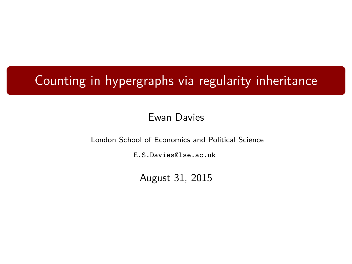## Counting in hypergraphs via regularity inheritance

#### Ewan Davies

London School of Economics and Political Science

[E.S.Davies@lse.ac.uk](mailto:E.S.Davies@lse.ac.uk)

August 31, 2015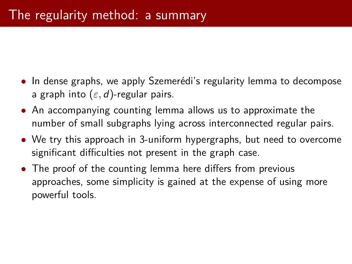- In dense graphs, we apply Szemerédi's regularity lemma to decompose a graph into (*ε,* d)-regular pairs.
- An accompanying counting lemma allows us to approximate the number of small subgraphs lying across interconnected regular pairs.
- We try this approach in 3-uniform hypergraphs, but need to overcome significant difficulties not present in the graph case.
- The proof of the counting lemma here differs from previous approaches, some simplicity is gained at the expense of using more powerful tools.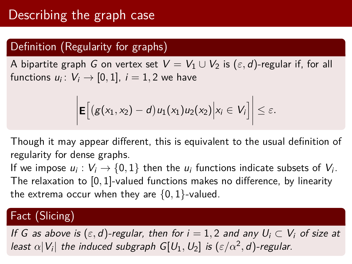### Definition (Regularity for graphs)

A bipartite graph G on vertex set  $V = V_1 \cup V_2$  is  $(\varepsilon, d)$ -regular if, for all functions  $u_i\colon V_i\to [0,1]$ ,  $i=1,2$  we have

$$
\bigg|\mathbf{E}\Big[\big(g(x_1,x_2)-d\big)u_1(x_1)u_2(x_2)\Big|x_i\in V_i\Big|\bigg|\leq \varepsilon.
$$

Though it may appear different, this is equivalent to the usual definition of regularity for dense graphs.

If we impose  $u_i:V_i\to\{0,1\}$  then the  $u_i$  functions indicate subsets of  $V_i.$ The relaxation to [0*,* 1]-valued functions makes no difference, by linearity the extrema occur when they are {0*,* 1}-valued.

### Fact (Slicing)

If G as above is  $(\varepsilon, d)$ -regular, then for  $i = 1, 2$  and any  $U_i \subset V_i$  of size at least  $\alpha |V_i|$  the induced subgraph  $G[U_1,U_2]$  is  $(\varepsilon/\alpha^2,d)$ -regular.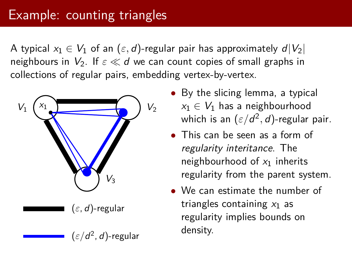### Example: counting triangles

A typical  $x_1 \in V_1$  of an  $(\varepsilon, d)$ -regular pair has approximately  $d|V_2|$ neighbours in  $V_2$ . If  $\varepsilon \ll d$  we can count copies of small graphs in collections of regular pairs, embedding vertex-by-vertex.



- By the slicing lemma, a typical  $x_1 \in V_1$  has a neighbourhood which is an  $(\varepsilon/d^2,d)$ -regular pair.
- This can be seen as a form of regularity interitance. The neighbourhood of  $x_1$  inherits regularity from the parent system.
- We can estimate the number of triangles containing  $x_1$  as regularity implies bounds on density.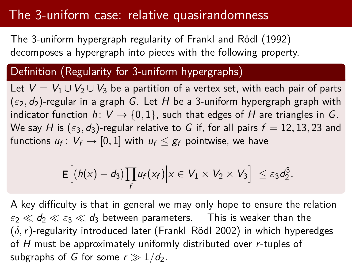## The 3-uniform case: relative quasirandomness

The 3-uniform hypergraph regularity of Frankl and Rödl (1992) decomposes a hypergraph into pieces with the following property.

#### Definition (Regularity for 3-uniform hypergraphs)

Let  $V = V_1 \cup V_2 \cup V_3$  be a partition of a vertex set, with each pair of parts  $(\varepsilon_2, d_2)$ -regular in a graph G. Let H be a 3-uniform hypergraph graph with indicator function  $h: V \rightarrow \{0,1\}$ , such that edges of H are triangles in G. We say H is  $(\varepsilon_3, d_3)$ -regular relative to G if, for all pairs  $f = 12, 13, 23$  and functions  $u_f\colon V_f\to [0,1]$  with  $u_f\leq g_f$  pointwise, we have

$$
\left|\mathbf{E}\Big[(h(x)-d_3)\prod_f u_f(x_f)\Big| x\in V_1\times V_2\times V_3\Big]\right|\leq \varepsilon_3 d_2^3.
$$

A key difficulty is that in general we may only hope to ensure the relation  $\varepsilon_2 \ll d_2 \ll \varepsilon_3 \ll d_3$  between parameters. This is weaker than the (*δ,*r)-regularity introduced later (Frankl–Rödl 2002) in which hyperedges of H must be approximately uniformly distributed over r-tuples of subgraphs of G for some  $r \gg 1/d_2$ .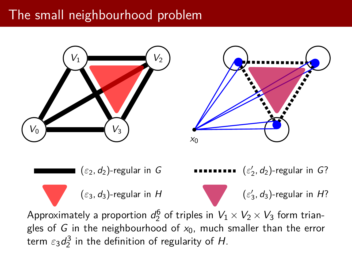# The small neighbourhood problem



term  $\varepsilon_3 d_2^3$  in the definition of regularity of H.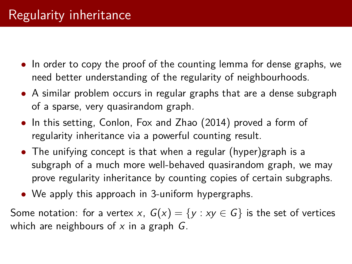- In order to copy the proof of the counting lemma for dense graphs, we need better understanding of the regularity of neighbourhoods.
- A similar problem occurs in regular graphs that are a dense subgraph of a sparse, very quasirandom graph.
- In this setting, Conlon, Fox and Zhao (2014) proved a form of regularity inheritance via a powerful counting result.
- The unifying concept is that when a regular (hyper)graph is a subgraph of a much more well-behaved quasirandom graph, we may prove regularity inheritance by counting copies of certain subgraphs.
- We apply this approach in 3-uniform hypergraphs.

Some notation: for a vertex x,  $G(x) = \{y : xy \in G\}$  is the set of vertices which are neighbours of  $x$  in a graph  $G$ .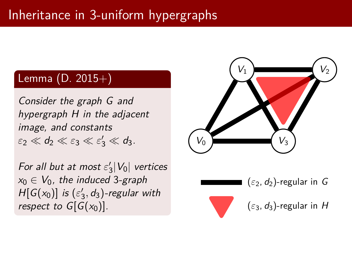# Inheritance in 3-uniform hypergraphs

### Lemma (D. 2015+)

Consider the graph G and hypergraph H in the adjacent image, and constants  $\varepsilon_2 \ll d_2 \ll \varepsilon_3 \ll \varepsilon_3' \ll d_3.$ 

For all but at most  $\varepsilon_3' |V_0|$  vertices  $x_0 \in V_0$ , the induced 3-graph  $H[G(x_0)]$  is  $(\varepsilon'_3, d_3)$ -regular with respect to  $G[G(x_0)]$ .



 $(\varepsilon_2, d_2)$ -regular in G

 $(\varepsilon_3, d_3)$ -regular in H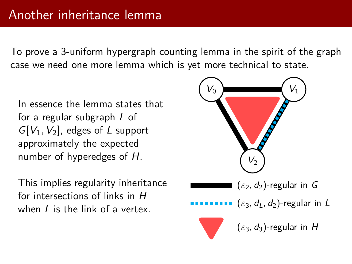To prove a 3-uniform hypergraph counting lemma in the spirit of the graph case we need one more lemma which is yet more technical to state.

In essence the lemma states that for a regular subgraph L of  $G[V_1, V_2]$ , edges of L support approximately the expected number of hyperedges of H.

This implies regularity inheritance for intersections of links in H when  $\ell$  is the link of a vertex.

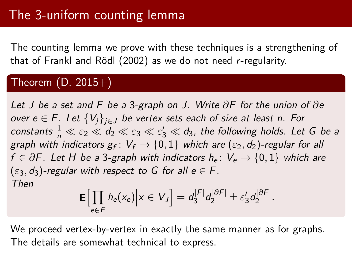The counting lemma we prove with these techniques is a strengthening of that of Frankl and Rödl (2002) as we do not need r-regularity.

#### Theorem  $(D. 2015+)$

Let J be a set and F be a 3-graph on J. Write *∂*F for the union of *∂*e over  $e \in F$ . Let  $\{V_i\}_{i \in J}$  be vertex sets each of size at least n. For constants  $\frac{1}{n} \ll \varepsilon_2 \ll d_2 \ll \varepsilon_3 \ll \varepsilon'_3 \ll d_3$ , the following holds. Let G be a graph with indicators  $\mathsf{g}_\mathsf{f} \colon V_\mathsf{f} \to \{0,1\}$  which are  $(\varepsilon_2,d_2)$ -regular for all f  $\in \partial F$ . Let H be a 3-graph with indicators h<sub>e</sub>:  $V_e \rightarrow \{0, 1\}$  which are  $(\varepsilon_3, d_3)$ -regular with respect to G for all  $e \in F$ . Then

$$
\mathbf{E}\Big[\prod_{e\in F}h_e(x_e)\Big| x\in V_J\Big]=d_3^{|F|}d_2^{|{\partial} F|}\pm \varepsilon_3'd_2^{|{\partial} F|}.
$$

We proceed vertex-by-vertex in exactly the same manner as for graphs. The details are somewhat technical to express.